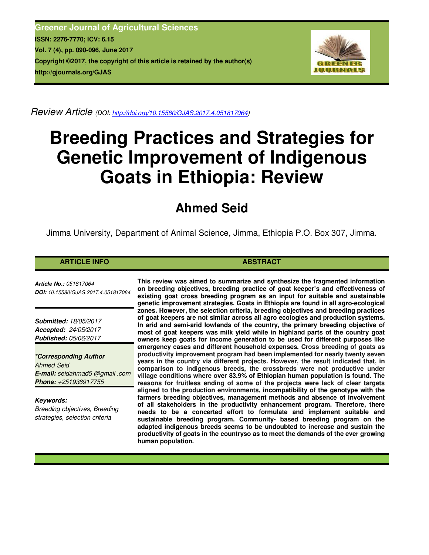**Greener Journal of Agricultural Sciences ISSN: 2276-7770; ICV: 6.15 Vol. 7 (4), pp. 090-096, June 2017 Copyright ©2017, the copyright of this article is retained by the author(s) http://gjournals.org/GJAS**



*Review Article (DOI: http://doi.org/10.15580/GJAS.2017.4.051817064)*

# **Breeding Practices and Strategies for Genetic Improvement of Indigenous Goats in Ethiopia: Review**

# **Ahmed Seid**

Jimma University, Department of Animal Science, Jimma, Ethiopia P.O. Box 307, Jimma.

## **ARTICLE INFO ABSTRACT ABSTRACT**

*Article No.: 051817064 DOI: 10.15580/GJAS.2017.4.051817064*

*Submitted: 18/05/2017 Accepted: 24/05/2017 Published: 05/06/2017*

*\*Corresponding Author Ahmed Seid E-mail: seidahmad5 @gmail .com Phone: +251936917755*

*Keywords: Breeding objectives, Breeding strategies, selection criteria*

**This review was aimed to summarize and synthesize the fragmented information on breeding objectives, breeding practice of goat keeper's and effectiveness of existing goat cross breeding program as an input for suitable and sustainable genetic improvement strategies. Goats in Ethiopia are found in all agro-ecological zones. However, the selection criteria, breeding objectives and breeding practices of goat keepers are not similar across all agro ecologies and production systems. In arid and semi-arid lowlands of the country, the primary breeding objective of most of goat keepers was milk yield while in highland parts of the country goat owners keep goats for income generation to be used for different purposes like emergency cases and different household expenses. Cross breeding of goats as productivity improvement program had been implemented for nearly twenty seven years in the country via different projects. However, the result indicated that, in comparison to indigenous breeds, the crossbreds were not productive under village conditions where over 83.9% of Ethiopian human population is found. The reasons for fruitless ending of some of the projects were lack of clear targets aligned to the production environments, incompatibility of the genotype with the farmers breeding objectives, management methods and absence of involvement of all stakeholders in the productivity enhancement program. Therefore, there needs to be a concerted effort to formulate and implement suitable and sustainable breeding program. Community- based breeding program on the adapted indigenous breeds seems to be undoubted to increase and sustain the productivity of goats in the countryso as to meet the demands of the ever growing human population.**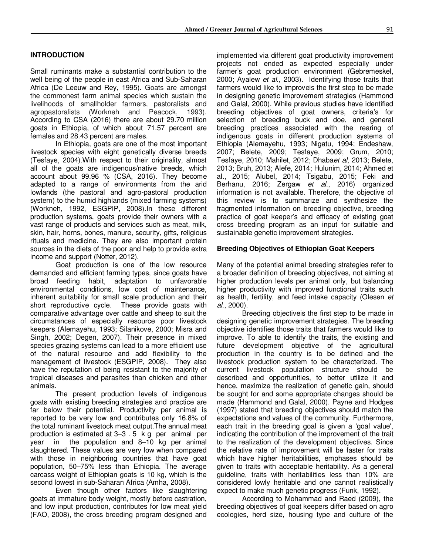### **INTRODUCTION**

Small ruminants make a substantial contribution to the well being of the people in east Africa and Sub-Saharan Africa (De Leeuw and Rey, 1995). Goats are amongst the commonest farm animal species which sustain the livelihoods of smallholder farmers, pastoralists and agropastoralists (Workneh and Peacock, 1993). According to CSA (2016) there are about 29.70 million goats in Ethiopia, of which about 71.57 percent are females and 28.43 percent are males.

In Ethiopia, goats are one of the most important livestock species with eight genetically diverse breeds (Tesfaye, 2004).With respect to their originality, almost all of the goats are indigenous/native breeds, which account about 99.96 % (CSA, 2016). They become adapted to a range of environments from the arid lowlands (the pastoral and agro-pastoral production system) to the humid highlands (mixed farming systems) (Workneh, 1992, ESGPIP, 2008).In these different production systems, goats provide their owners with a vast range of products and services such as meat, milk, skin, hair, horns, bones, manure, security, gifts, religious rituals and medicine. They are also important protein sources in the diets of the poor and help to provide extra income and support (Notter, 2012).

Goat production is one of the low resource demanded and efficient farming types, since goats have broad feeding habit, adaptation to unfavorable environmental conditions, low cost of maintenance, inherent suitability for small scale production and their short reproductive cycle. These provide goats with comparative advantage over cattle and sheep to suit the circumstances of especially resource poor livestock keepers (Alemayehu, 1993; Silanikove, 2000; Misra and Singh, 2002; Degen, 2007). Their presence in mixed species grazing systems can lead to a more efficient use of the natural resource and add flexibility to the management of livestock (ESGPIP, 2008). They also have the reputation of being resistant to the majority of tropical diseases and parasites than chicken and other animals.

The present production levels of indigenous goats with existing breeding strategies and practice are far below their potential. Productivity per animal is reported to be very low and contributes only 16.8% of the total ruminant livestock meat output.The annual meat production is estimated at 3–3 . 5 k g per animal per year in the population and 8–10 kg per animal slaughtered. These values are very low when compared with those in neighboring countries that have goat population, 50–75% less than Ethiopia. The average carcass weight of Ethiopian goats is 10 kg, which is the second lowest in sub-Saharan Africa (Amha, 2008).

Even though other factors like slaughtering goats at immature body weight, mostly before castration, and low input production, contributes for low meat yield (FAO, 2008), the cross breeding program designed and

implemented via different goat productivity improvement projects not ended as expected especially under farmer's goat production environment (Gebremeskel, 2000; Ayalew *et al*., 2003). Identifying those traits that farmers would like to improveis the first step to be made in designing genetic improvement strategies (Hammond and Galal, 2000). While previous studies have identified breeding objectives of goat owners, criteria's for selection of breeding buck and doe, and general breeding practices associated with the rearing of indigenous goats in different production systems of Ethiopia (Alemayehu, 1993; Nigatu, 1994; Endeshaw, 2007; Belete, 2009; Tesfaye, 2009; Grum, 2010; Tesfaye, 2010; Mahilet, 2012; Dhaba*et al*, 2013; Belete, 2013; Bruh, 2013; Alefe, 2014; Hulunim, 2014; Ahmed et al., 2015; Alubel, 2014; Tsigabu, 2015; Feki and Berhanu, 2016; Zergaw *et al*., 2016) organized information is not available. Therefore, the objective of this review is to summarize and synthesize the fragmented information on breeding objective, breeding practice of goat keeper's and efficacy of existing goat cross breeding program as an input for suitable and sustainable genetic improvement strategies.

#### **Breeding Objectives of Ethiopian Goat Keepers**

Many of the potential animal breeding strategies refer to a broader definition of breeding objectives, not aiming at higher production levels per animal only, but balancing higher productivity with improved functional traits such as health, fertility, and feed intake capacity (Olesen *et al*., 2000).

Breeding objectiveis the first step to be made in designing genetic improvement strategies. The breeding objective identifies those traits that farmers would like to improve. To able to identify the traits, the existing and future development objective of the agricultural production in the country is to be defined and the livestock production system to be characterized. The current livestock population structure should be described and opportunities, to better utilize it and hence, maximize the realization of genetic gain, should be sought for and some appropriate changes should be made (Hammond and Galal, 2000). Payne and Hodges (1997) stated that breeding objectives should match the expectations and values of the community. Furthermore, each trait in the breeding goal is given a 'goal value', indicating the contribution of the improvement of the trait to the realization of the development objectives. Since the relative rate of improvement will be faster for traits which have higher heritabilities, emphases should be given to traits with acceptable heritability. As a general guideline, traits with heritabilities less than 10% are considered lowly heritable and one cannot realistically expect to make much genetic progress (Funk, 1992).

According to Mohammad and Raed (2009), the breeding objectives of goat keepers differ based on agro ecologies, herd size, housing type and culture of the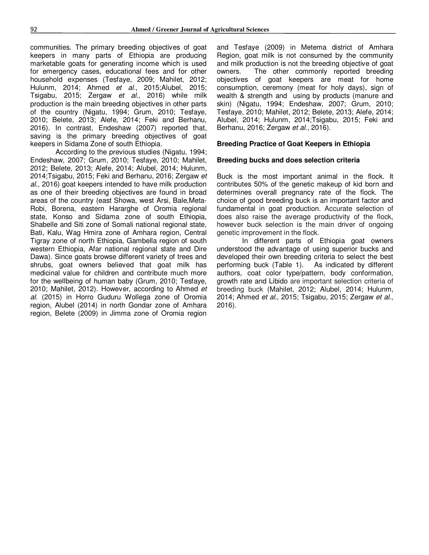communities. The primary breeding objectives of goat keepers in many parts of Ethiopia are producing marketable goats for generating income which is used for emergency cases, educational fees and for other household expenses (Tesfaye, 2009; Mahilet, 2012; Hulunm, 2014; Ahmed *et al.*, 2015;Alubel, 2015; Tsigabu, 2015; Zergaw *et al*., 2016) while milk production is the main breeding objectives in other parts of the country (Nigatu, 1994; Grum, 2010; Tesfaye, 2010; Belete, 2013; Alefe, 2014; Feki and Berhanu, 2016). In contrast, Endeshaw (2007) reported that, saving is the primary breeding objectives of goat keepers in Sidama Zone of south Ethiopia.

According to the previous studies (Nigatu, 1994; Endeshaw, 2007; Grum, 2010; Tesfaye, 2010; Mahilet, 2012; Belete, 2013; Alefe, 2014; Alubel, 2014; Hulunm, 2014;Tsigabu, 2015; Feki and Berhanu, 2016; Zergaw *et al*., 2016) goat keepers intended to have milk production as one of their breeding objectives are found in broad areas of the country (east Showa, west Arsi, Bale,Meta-Robi, Borena, eastern Hararghe of Oromia regional state, Konso and Sidama zone of south Ethiopia, Shabelle and Siti zone of Somali national regional state, Bati, Kalu, Wag Hmira zone of Amhara region, Central Tigray zone of north Ethiopia, Gambella region of south western Ethiopia, Afar national regional state and Dire Dawa). Since goats browse different variety of trees and shrubs, goat owners believed that goat milk has medicinal value for children and contribute much more for the wellbeing of human baby (Grum, 2010; Tesfaye, 2010; Mahilet, 2012). However, according to Ahmed *et al.* (2015) in Horro Guduru Wollega zone of Oromia region, Alubel (2014) in north Gondar zone of Amhara region, Belete (2009) in Jimma zone of Oromia region

and Tesfaye (2009) in Metema district of Amhara Region, goat milk is not consumed by the community and milk production is not the breeding objective of goat owners. The other commonly reported breeding objectives of goat keepers are meat for home consumption, ceremony (meat for holy days), sign of wealth & strength and using by products (manure and skin) (Nigatu, 1994; Endeshaw, 2007; Grum, 2010; Tesfaye, 2010; Mahilet, 2012; Belete, 2013; Alefe, 2014; Alubel, 2014; Hulunm, 2014;Tsigabu, 2015; Feki and Berhanu, 2016; Zergaw *et al*., 2016).

#### **Breeding Practice of Goat Keepers in Ethiopia**

#### **Breeding bucks and does selection criteria**

Buck is the most important animal in the flock. It contributes 50% of the genetic makeup of kid born and determines overall pregnancy rate of the flock. The choice of good breeding buck is an important factor and fundamental in goat production. Accurate selection of does also raise the average productivity of the flock, however buck selection is the main driver of ongoing genetic improvement in the flock.

In different parts of Ethiopia goat owners understood the advantage of using superior bucks and developed their own breeding criteria to select the best performing buck (Table 1). As indicated by different authors, coat color type/pattern, body conformation, growth rate and Libido are important selection criteria of breeding buck (Mahilet, 2012; Alubel, 2014; Hulunm, 2014; Ahmed *et al.*, 2015; Tsigabu, 2015; Zergaw *et al*., 2016).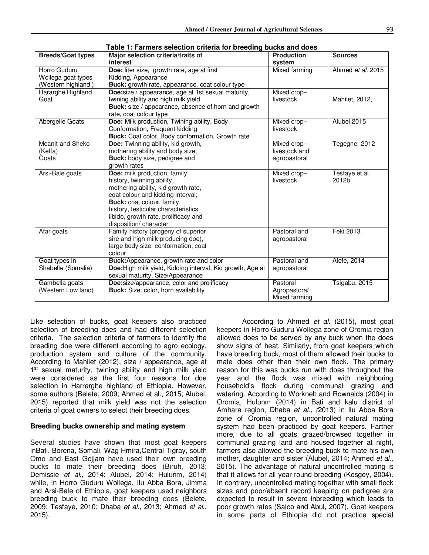| <b>Breeds/Goat types</b>                                 | Major selection criteria/traits of<br>interest                                                                                                                                                                                                                                | <b>Production</b><br>system                  | <b>Sources</b>          |
|----------------------------------------------------------|-------------------------------------------------------------------------------------------------------------------------------------------------------------------------------------------------------------------------------------------------------------------------------|----------------------------------------------|-------------------------|
| Horro Guduru<br>Wollega goat types<br>(Western highland) | Doe: liter size, growth rate, age at first<br>Kidding, Appearance<br>Buck: growth rate, appearance, coat colour type                                                                                                                                                          | <b>Mixed farming</b>                         | Ahmed et al. 2015       |
| Hararghe Highland<br>Goat                                | Doe:size / appearance, age at 1st sexual maturity,<br>twining ability and high milk yield<br>Buck: size / appearance, absence of horn and growth<br>rate, coat colour type                                                                                                    | Mixed crop-<br>livestock                     | Mahilet, 2012,          |
| Abergelle Goats                                          | Doe: Milk production, Twining ability, Body<br>Conformation, Frequent kidding<br>Buck: Coat color, Body conformation, Growth rate                                                                                                                                             | Mixed crop-<br>livestock                     | Alubel, 2015            |
| Meanit and Sheko<br>(Keffa)<br>Goats                     | Doe: Twinning ability, kid growth,<br>mothering ability and body size;<br>Buck: body size, pedigree and<br>growth rates                                                                                                                                                       | Mixed crop-<br>livestock and<br>agropastoral | Tegegne, 2012           |
| Arsi-Bale goats                                          | Doe: milk production, family<br>history, twinning ability,<br>mothering ability, kid growth rate,<br>coat colour and kidding interval;<br>Buck: coat colour, family<br>history, testicular characteristics,<br>libido, growth rate, prolificacy and<br>disposition/ character | Mixed crop-<br>livestock                     | Tesfaye et al.<br>2012b |
| Afar goats                                               | Family history (progeny of superior<br>sire and high milk producing doe),<br>large body size, conformation; coat<br>colour                                                                                                                                                    | Pastoral and<br>agropastoral                 | Feki 2013.              |
| Goat types in<br>Shabelle (Somalia)                      | Buck: Appearance, growth rate and color<br>Doe: High milk yield, Kidding interval, Kid growth, Age at<br>sexual maturity, Size/Appearance                                                                                                                                     | Pastoral and<br>agropastoral                 | Alefe, 2014             |
| Gambella goats<br>(Western Low land)                     | Doe:size/appearance, color and prolificacy<br>Buck: Size, color, horn availability                                                                                                                                                                                            | Pastoral<br>Agropastora/<br>Mixed farming    | Tsigabu, 2015           |

**Table 1: Farmers selection criteria for breeding bucks and does** 

Like selection of bucks, goat keepers also practiced selection of breeding does and had different selection criteria. The selection criteria of farmers to identify the breeding doe were different according to agro ecology, production system and culture of the community. According to Mahilet (2012), size / appearance, age at 1<sup>st</sup> sexual maturity, twining ability and high milk yield were considered as the first four reasons for doe selection in Harrerghe highland of Ethiopia. However, some authors (Belete; 2009; Ahmed et al., 2015; Alubel, 2015) reported that milk yield was not the selection criteria of goat owners to select their breeding does.

#### **Breeding bucks ownership and mating system**

Several studies have shown that most goat keepers inBati, Borena, Somali, Wag Hmira,Central Tigray, south Omo and East Gojjam have used their own breeding bucks to mate their breeding does (Biruh, 2013; Demissie *et al.,* 2014; Alubel, 2014; Hulunm, 2014) while, in Horro Guduru Wollega, Ilu Abba Bora, Jimma and Arsi-Bale of Ethiopia, goat keepers used neighbors breeding buck to mate their breeding does (Belete, 2009; Tesfaye, 2010; Dhaba *et al.,* 2013; Ahmed *et al*., 2015).

According to Ahmed *et al.* (2015), most goat keepers in Horro Guduru Wollega zone of Oromia region allowed does to be served by any buck when the does show signs of heat. Similarly, from goat keepers which have breeding buck, most of them allowed their bucks to mate does other than their own flock. The primary reason for this was bucks run with does throughout the year and the flock was mixed with neighboring household's flock during communal grazing and watering. According to Workneh and Rownalds (2004) in Oromia, Hulunm (2014) in Bati and kalu district of Amhara region, Dhaba *et al., (*2013) in Ilu Abba Bora zone of Oromia region, uncontrolled natural mating system had been practiced by goat keepers. Farther more, due to all goats grazed/browsed together in communal grazing land and housed together at night, farmers also allowed the breeding buck to mate his own mother, daughter and sister (Alubel, 2014; Ahmed *et al*., 2015). The advantage of natural uncontrolled mating is that it allows for all year round breeding (Kosgey, 2004). In contrary, uncontrolled mating together with small flock sizes and poor/absent record keeping on pedigree are expected to result in severe inbreeding which leads to poor growth rates (Saico and Abul, 2007). Goat keepers in some parts of Ethiopia did not practice special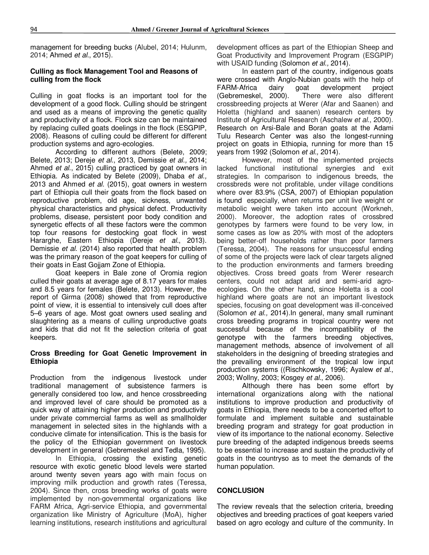management for breeding bucks (Alubel, 2014; Hulunm, 2014; Ahmed *et al*., 2015).

#### **Culling as flock Management Tool and Reasons of culling from the flock**

Culling in goat flocks is an important tool for the development of a good flock. Culling should be stringent and used as a means of improving the genetic quality and productivity of a flock. Flock size can be maintained by replacing culled goats doelings in the flock (ESGPIP, 2008). Reasons of culling could be different for different production systems and agro-ecologies.

According to different authors (Belete, 2009; Belete, 2013; Dereje *et al.*, 2013, Demissie *et al.,* 2014; Ahmed *et al*., 2015) culling practiced by goat owners in Ethiopia. As indicated by Belete (2009), Dhaba *et al.,*  2013 and Ahmed *et al.* (2015), goat owners in western part of Ethiopia cull their goats from the flock based on reproductive problem, old age, sickness, unwanted physical characteristics and physical defect. Productivity problems, disease, persistent poor body condition and synergetic effects of all these factors were the common top four reasons for destocking goat flock in west Hararghe, Eastern Ethiopia (Dereje *et al.*, 2013). Demissie *et al.* (2014) also reported that health problem was the primary reason of the goat keepers for culling of their goats in East Gojjam Zone of Ethiopia.

Goat keepers in Bale zone of Oromia region culled their goats at average age of 8.17 years for males and 8.5 years for females (Belete, 2013). However, the report of Girma (2008) showed that from reproductive point of view, it is essential to intensively cull does after 5–6 years of age. Most goat owners used sealing and slaughtering as a means of culling unproductive goats and kids that did not fit the selection criteria of goat keepers.

#### **Cross Breeding for Goat Genetic Improvement in Ethiopia**

Production from the indigenous livestock under traditional management of subsistence farmers is generally considered too low, and hence crossbreeding and improved level of care should be promoted as a quick way of attaining higher production and productivity under private commercial farms as well as smallholder management in selected sites in the highlands with a conducive climate for intensification. This is the basis for the policy of the Ethiopian government on livestock development in general (Gebremeskel and Tedla, 1995).

In Ethiopia, crossing the existing genetic resource with exotic genetic blood levels were started around twenty seven years ago with main focus on improving milk production and growth rates (Teressa, 2004). Since then, cross breeding works of goats were implemented by non-governmental organizations like FARM Africa, Agri-service Ethiopia, and governmental organization like Ministry of Agriculture (MoA), higher learning institutions, research institutions and agricultural development offices as part of the Ethiopian Sheep and Goat Productivity and Improvement Program (ESGPIP) with USAID funding (Solomon *et al.,* 2014).

In eastern part of the country, indigenous goats were crossed with Anglo-Nubian goats with the help of FARM-Africa dairy goat development project (Gebremeskel, 2000). There were also different crossbreeding projects at Werer (Afar and Saanen) and Holetta (highland and saanen) research centers by Institute of Agricultural Research (Aschalew *et al*., 2000). Research on Arsi-Bale and Boran goats at the Adami Tulu Research Center was also the longest-running project on goats in Ethiopia, running for more than 15 years from 1992 (Solomon *et al.,* 2014).

However, most of the implemented projects lacked functional institutional synergies and exit strategies. In comparison to indigenous breeds, the crossbreds were not profitable, under village conditions where over 83.9% (CSA, 2007) of Ethiopian population is found especially, when returns per unit live weight or metabolic weight were taken into account (Workneh, 2000). Moreover, the adoption rates of crossbred genotypes by farmers were found to be very low, in some cases as low as 20% with most of the adopters being better-off households rather than poor farmers (Teressa, 2004). The reasons for unsuccessful ending of some of the projects were lack of clear targets aligned to the production environments and farmers breeding objectives. Cross breed goats from Werer research centers, could not adapt arid and semi-arid agroecologies. On the other hand, since Holetta is a cool highland where goats are not an important livestock species, focusing on goat development was ill-conceived (Solomon *et al.,* 2014).In general, many small ruminant cross breeding programs in tropical country were not successful because of the incompatibility of the genotype with the farmers breeding objectives, management methods, absence of involvement of all stakeholders in the designing of breeding strategies and the prevailing environment of the tropical low input production systems ((Rischkowsky, 1996; Ayalew *et al*., 2003; Wollny, 2003; Kosgey *et al*., 2006).

Although there has been some effort by international organizations along with the national institutions to improve production and productivity of goats in Ethiopia, there needs to be a concerted effort to formulate and implement suitable and sustainable breeding program and strategy for goat production in view of its importance to the national economy. Selective pure breeding of the adapted indigenous breeds seems to be essential to increase and sustain the productivity of goats in the countryso as to meet the demands of the human population.

#### **CONCLUSION**

The review reveals that the selection criteria, breeding objectives and breeding practices of goat keepers varied based on agro ecology and culture of the community. In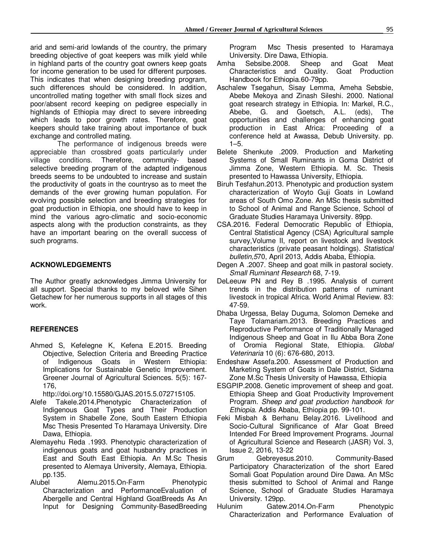arid and semi-arid lowlands of the country, the primary breeding objective of goat keepers was milk yield while in highland parts of the country goat owners keep goats for income generation to be used for different purposes. This indicates that when designing breeding program, such differences should be considered. In addition, uncontrolled mating together with small flock sizes and poor/absent record keeping on pedigree especially in highlands of Ethiopia may direct to severe inbreeding which leads to poor growth rates. Therefore, goat keepers should take training about importance of buck exchange and controlled mating.

 The performance of indigenous breeds were appreciable than crossbred goats particularly under village conditions. Therefore, community- based selective breeding program of the adapted indigenous breeds seems to be undoubted to increase and sustain the productivity of goats in the countryso as to meet the demands of the ever growing human population. For evolving possible selection and breeding strategies for goat production in Ethiopia, one should have to keep in mind the various agro-climatic and socio-economic aspects along with the production constraints, as they have an important bearing on the overall success of such programs.

#### **ACKNOWLEDGEMENTS**

The Author greatly acknowledges Jimma University for all support. Special thanks to my beloved wife Sihen Getachew for her numerous supports in all stages of this work.

#### **REFERENCES**

Ahmed S, Kefelegne K, Kefena E.2015. Breeding Objective, Selection Criteria and Breeding Practice of Indigenous Goats in Western Ethiopia: Implications for Sustainable Genetic Improvement. Greener Journal of Agricultural Sciences. 5(5): 167- 176,

http://doi.org/10.15580/GJAS.2015.5.072715105.

- Alefe Takele.2014.Phenotypic Characterization of Indigenous Goat Types and Their Production System in Shabelle Zone, South Eastern Ethiopia Msc Thesis Presented To Haramaya University. Dire Dawa, Ethiopia.
- Alemayehu Reda .1993. Phenotypic characterization of indigenous goats and goat husbandry practices in East and South East Ethiopia. An M.Sc Thesis presented to Alemaya University, Alemaya, Ethiopia. pp.135.
- Alubel Alemu.2015.On-Farm Phenotypic Characterization and PerformanceEvaluation of Abergelle and Central Highland GoatBreeds As An Input for Designing Community-BasedBreeding

Program Msc Thesis presented to Haramaya University. Dire Dawa, Ethiopia.<br>Amha Sebsibe 2008 Sheep

- Sebsibe.2008. Sheep and Goat Meat Characteristics and Quality. Goat Production Handbook for Ethiopia.60-79pp.
- Aschalew Tsegahun, Sisay Lemma, Ameha Sebsbie, Abebe Mekoya and Zinash Sileshi. 2000. National goat research strategy in Ethiopia. In: Markel, R.C., Abebe, G. and Goetsch, A.L. (eds), The opportunities and challenges of enhancing goat production in East Africa: Proceeding of a conference held at Awassa, Debub University. pp.  $1 - 5$ .
- Belete Shenkute .2009. Production and Marketing Systems of Small Ruminants in Goma District of Jimma Zone, Western Ethiopia. M. Sc. Thesis presented to Hawassa University, Ethiopia.
- Biruh Tesfahun.2013. Phenotypic and production system characterization of Woyto Guji Goats in Lowland areas of South Omo Zone. An MSc thesis submitted to School of Animal and Range Science, School of Graduate Studies Haramaya University. 89pp.
- CSA.2016. Federal Democratic Republic of Ethiopia, Central Statistical Agency (CSA) Agricultural sample survey,Volume II, report on livestock and livestock characteristics (private peasant holdings). *Statistical bulletin,5*70, April 2013, Addis Ababa, Ethiopia.
- Degen A .2007. Sheep and goat milk in pastoral society. *Small Ruminant Research* 68, 7-19.
- DeLeeuw PN and Rey B .1995. Analysis of current trends in the distribution patterns of ruminant livestock in tropical Africa. World Animal Review. 83: 47-59.
- Dhaba Urgessa, Belay Duguma, Solomon Demeke and Taye Tolamariam.2013. Breeding Practices and Reproductive Performance of Traditionally Managed Indigenous Sheep and Goat in Ilu Abba Bora Zone of Oromia Regional State, Ethiopia. *Global Veterinaria* 10 (6): 676-680, 2013.
- Endeshaw Assefa.200. Assessment of Production and Marketing System of Goats in Dale District, Sidama Zone M.Sc Thesis University of Hawassa, Ethiopia
- ESGPIP.2008. Genetic improvement of sheep and goat. Ethiopia Sheep and Goat Productivity Improvement Program. *Sheep and goat production handbook for Ethiopia*. Addis Ababa, Ethiopia pp. 99-101.
- Feki Misbah & Berhanu Belay.2016. Livelihood and Socio-Cultural Significance of Afar Goat Breed Intended For Breed Improvement Programs. Journal of Agricultural Science and Research (JASR) Vol. 3, Issue 2, 2016, 13-22
- Grum Gebreyesus.2010. Community-Based Participatory Characterization of the short Eared Somali Goat Population around Dire Dawa. An MSc thesis submitted to School of Animal and Range Science, School of Graduate Studies Haramaya University. 129pp.
- Hulunim Gatew.2014.On-Farm Phenotypic Characterization and Performance Evaluation of